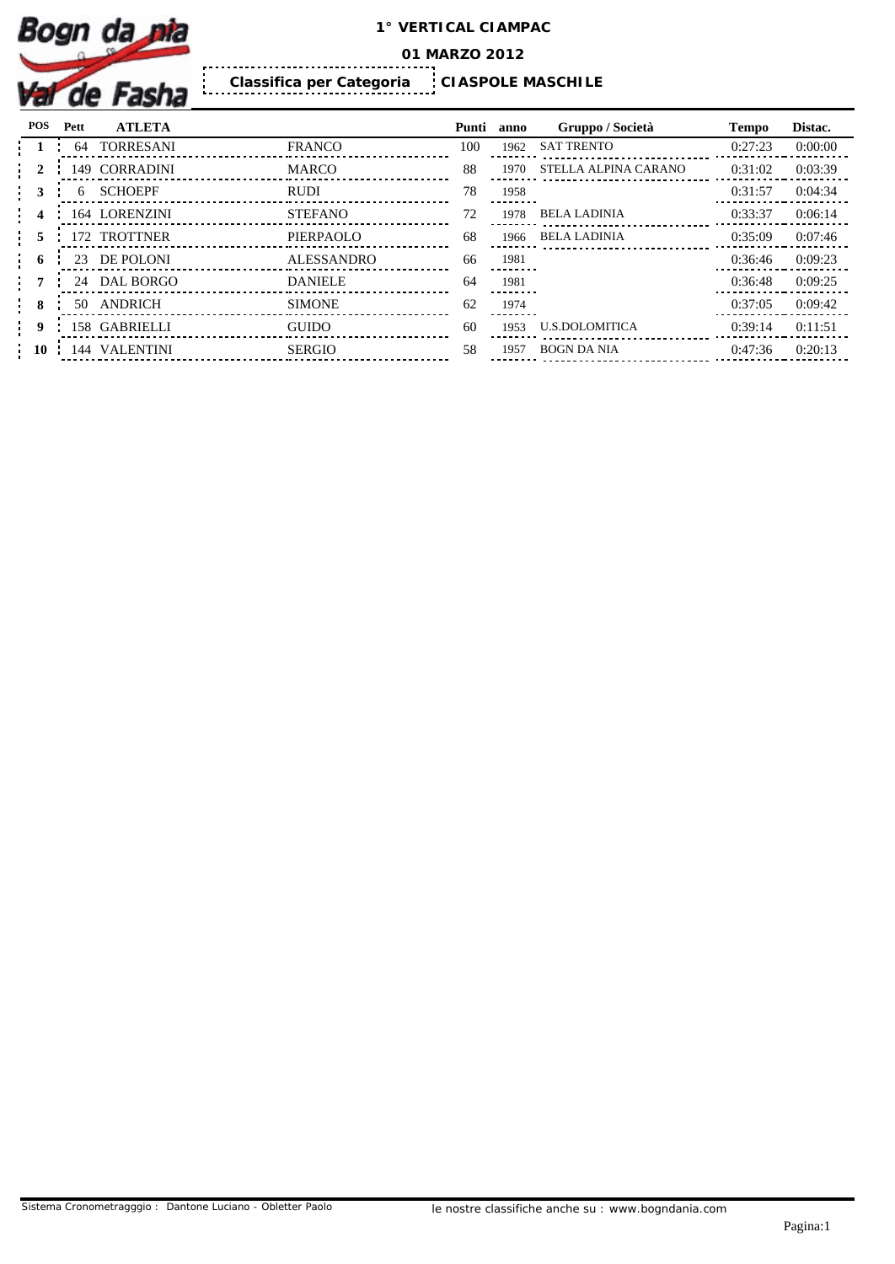

**01 MARZO 2012**

**CIASPOLE MASCHILE Classifica per Categoria** 

| POS         | Pett | <b>ATLETA</b>    |                   | Punti | anno | Gruppo / Società      | <b>Tempo</b> | Distac. |
|-------------|------|------------------|-------------------|-------|------|-----------------------|--------------|---------|
|             | 64   | <b>TORRESANI</b> | <b>FRANCO</b>     | 100   | 1962 | <b>SAT TRENTO</b>     | 0:27:23      | 0:00:00 |
|             |      | 149 CORRADINI    | MARCO             | 88    | 1970 | STELLA ALPINA CARANO  | 0:31:02      | 0:03:39 |
|             |      | <b>SCHOEPF</b>   | <b>RUDI</b>       | 78    | 1958 |                       | 0:31:57      | 0:04:34 |
|             |      | 164 LORENZINI    | <b>STEFANO</b>    | 72    | 1978 | <b>BELA LADINIA</b>   | 0:33:37      | 0:06:14 |
|             |      | 172 TROTTNER     | PIERPAOLO         | 68    | 1966 | BELA LADINIA          | 0:35:09      | 0:07:46 |
| - 6         |      | 23 DE POLONI     | <b>ALESSANDRO</b> | 66    | 1981 |                       | 0:36:46      | 0:09:23 |
|             |      | 24 DAL BORGO     | <b>DANIELE</b>    | 64    | 1981 |                       | 0:36:48      | 0:09:25 |
|             |      | 50 ANDRICH       | <b>SIMONE</b>     | 62    | 1974 |                       | 0:37:05      | 0:09:42 |
| $\mathbf q$ |      | 158 GABRIELLI    | <b>GUIDO</b>      | 60    | 1953 | <b>U.S.DOLOMITICA</b> | 0:39:14      | 0:11:51 |
| -10         | 144  | <b>VALENTINI</b> | SERGIO            | 58    | 1957 | <b>BOGN DA NIA</b>    | 0:47:36      | 0:20:13 |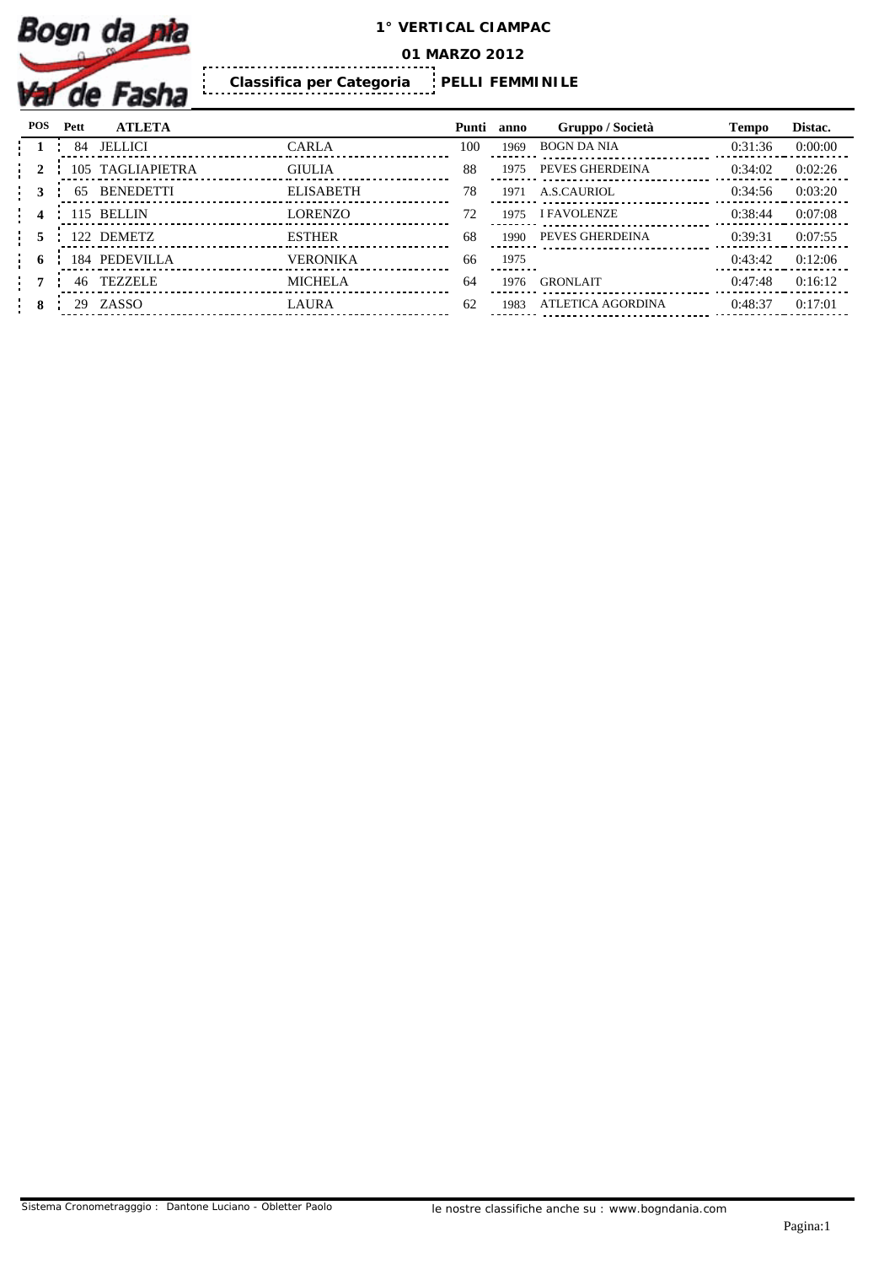

**01 MARZO 2012**

**PELLI FEMMINILE Classifica per Categoria** 

| POS | Pett | <b>ATLETA</b>    |                  | Punti anno |      | Gruppo / Società   | <b>Tempo</b> | Distac. |
|-----|------|------------------|------------------|------------|------|--------------------|--------------|---------|
|     | 84   | <b>JELLICI</b>   | CARLA            | 100        | 1969 | BOGN DA NIA        | 0:31:36      | 0:00:00 |
|     |      | 105 TAGLIAPIETRA | <b>GIULIA</b>    | 88         | 1975 | PEVES GHERDEINA    | 0:34:02      | 0:02:26 |
|     | 65   | <b>BENEDETTI</b> | <b>ELISABETH</b> | 78         | 1971 | A.S.CAURIOL        | 0:34:56      | 0:03:20 |
|     |      | 115 BELLIN       | <b>LORENZO</b>   | 72         | 1975 | <b>I FAVOLENZE</b> | 0:38:44      | 0:07:08 |
|     |      | 122 DEMETZ       | <b>ESTHER</b>    | 68         | 1990 | PEVES GHERDEINA    | 0:39:31      | 0:07:55 |
| - 6 |      | 184 PEDEVILLA    | <b>VERONIKA</b>  | 66         | 1975 |                    | 0:43:42      | 0:12:06 |
|     | 46   | TEZZELE          | <b>MICHELA</b>   | 64         | 1976 | <b>GRONLAIT</b>    | 0:47:48      | 0:16:12 |
| 8   | 29.  | ZASSO            | <b>LAURA</b>     | 62         | 1983 | ATLETICA AGORDINA  | 0:48:37      | 0:17:01 |
|     |      |                  |                  |            |      |                    |              |         |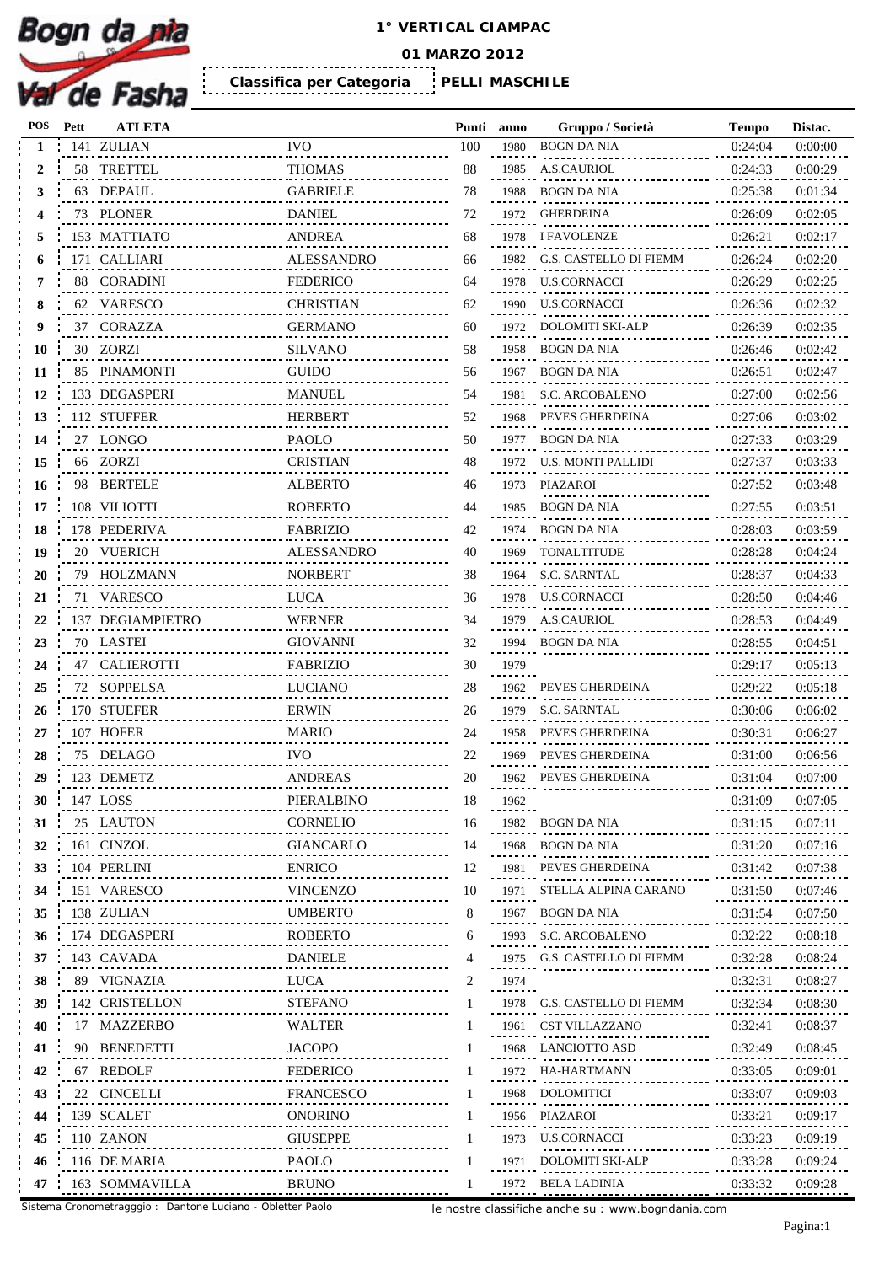

**01 MARZO 2012**

**PELLI MASCHILE Classifica per Categoria** 

| POS | Pett | <b>ATLETA</b>        |                   | Punti anno |      | Gruppo / Società                           | <b>Tempo</b> | Distac. |
|-----|------|----------------------|-------------------|------------|------|--------------------------------------------|--------------|---------|
|     |      | 141 ZULIAN           | <b>IVO</b>        | 100        | 1980 | <b>BOGN DA NIA</b>                         | 0:24:04      | 0:00:00 |
| 2   |      | 58 TRETTEL           | <b>THOMAS</b>     | 88         | 1985 | <b>A.S.CAURIOL</b>                         | 0:24:33      | 0:00:29 |
| 3   |      | 63 DEPAUL            | <b>GABRIELE</b>   | 78         | 1988 | <b>BOGN DA NIA</b>                         | 0:25:38      | 0:01:34 |
|     |      | 73 PLONER            | <b>DANIEL</b>     | 72         |      | 1972 GHERDEINA                             | 0:26:09      | 0:02:05 |
|     |      | 153 MATTIATO         | <b>ANDREA</b>     | 68         |      | 1978 I FAVOLENZE                           | 0:26:21      | 0:02:17 |
| h   |      | 171 CALLIARI         | <b>ALESSANDRO</b> | 66         |      | 1982 G.S. CASTELLO DI FIEMM                | 0:26:24      | 0:02:20 |
|     |      | 88 CORADINI          | <b>FEDERICO</b>   | 64         | 1978 | U.S.CORNACCI                               | 0:26:29      | 0:02:25 |
| 8   |      | 62 VARESCO           | <b>CHRISTIAN</b>  | 62         |      | 1990 U.S.CORNACCI                          | 0:26:36      | 0:02:32 |
| 9   | 37   | <b>CORAZZA</b>       | <b>GERMANO</b>    | 60         | 1972 | DOLOMITI SKI-ALP                           | 0:26:39      | 0:02:35 |
| 10  |      | 30 ZORZI             | <b>SILVANO</b>    | 58         | 1958 | <b>BOGN DA NIA</b>                         | 0:26:46      | 0:02:42 |
| 11  |      | 85 PINAMONTI         | <b>GUIDO</b>      | 56         | 1967 | BOGN DA NIA                                | 0:26:51      | 0:02:47 |
| 12  |      | 133 DEGASPERI        | <b>MANUEL</b>     | 54         |      | 1981 S.C. ARCOBALENO                       | 0:27:00      | 0:02:56 |
| 13  |      | 112 STUFFER          | <b>HERBERT</b>    | 52         | 1968 | PEVES GHERDEINA                            | 0:27:06      | 0:03:02 |
| 14  |      | 27 LONGO             | <b>PAOLO</b>      | 50         |      | 1977 BOGN DA NIA                           | 0:27:33      | 0:03:29 |
| 15  |      | 66 ZORZI             | <b>CRISTIAN</b>   | 48         | 1972 | U.S. MONTI PALLIDI                         | 0:27:37      | 0:03:33 |
| 16  |      | 98 BERTELE           | <b>ALBERTO</b>    | 46         |      | 1973 PIAZAROI                              | 0:27:52      | 0:03:48 |
| 17  |      | 108 VILIOTTI         | <b>ROBERTO</b>    | 44         | 1985 | <b>BOGN DA NIA</b>                         | 0:27:55      | 0:03:51 |
| 18  |      | 178 PEDERIVA         | <b>FABRIZIO</b>   | 42         |      | 1974 BOGN DA NIA                           | 0:28:03      | 0:03:59 |
| 19  |      | 20 VUERICH           | <b>ALESSANDRO</b> | 40         | 1969 | TONALTITUDE                                | 0:28:28      | 0:04:24 |
| 20  |      | 79 HOLZMANN          | <b>NORBERT</b>    | 38         |      | 1964 S.C. SARNTAL                          | 0:28:37      | 0:04:33 |
| 21  |      | 71 VARESCO           | <b>LUCA</b>       | 36         | 1978 | U.S.CORNACCI                               | 0:28:50      | 0:04:46 |
|     |      | 137 DEGIAMPIETRO     | <b>WERNER</b>     | 34         |      | 1979 A.S.CAURIOL                           | 0:28:53      | 0:04:49 |
| 22  |      |                      |                   | 32         |      |                                            |              |         |
| 23  |      | 70 LASTEI            | <b>GIOVANNI</b>   |            |      | 1994 BOGN DA NIA                           | 0:28:55      | 0:04:51 |
| 24  |      | <b>47 CALIEROTTI</b> | <b>FABRIZIO</b>   | 30         | 1979 |                                            | 0:29:17      | 0:05:13 |
| 25  |      | 72 SOPPELSA          | <b>LUCIANO</b>    | 28         | 1962 | PEVES GHERDEINA                            | 0:29:22      | 0:05:18 |
| 26  |      | 170 STUEFER          | <b>ERWIN</b>      | 26         |      | 1979 S.C. SARNTAL                          | 0:30:06      | 0:06:02 |
| 27  |      | 107 HOFER            | <b>MARIO</b>      | 24         | 1958 | PEVES GHERDEINA                            | 0:30:31      | 0:06:27 |
| 28  |      | 75 DELAGO            | <b>IVO</b>        | 22         | 1969 | PEVES GHERDEINA                            | 0:31:00      | 0:06:56 |
| 29  |      | 123 DEMETZ           | <b>ANDREAS</b>    | 20         | 1962 | PEVES GHERDEINA                            | 0:31:04      | 0:07:00 |
| 30  |      | 147 LOSS             | PIERALBINO        | 18         | 1962 |                                            | 0:31:09      | 0:07:05 |
| 31  |      | 25 LAUTON            | <b>CORNELIO</b>   | 16         | 1982 | BOGN DA NIA                                | 0:31:15      | 0:07:11 |
| 32  |      | 161 CINZOL           | <b>GIANCARLO</b>  | 14         | 1968 | BOGN DA NIA                                | 0:31:20      | 0:07:16 |
| 33  |      | 104 PERLINI          | <b>ENRICO</b>     | 12         | 1981 | PEVES GHERDEINA                            | 0:31:42      | 0:07:38 |
| 34  |      | 151 VARESCO          | <b>VINCENZO</b>   | 10         |      | 1971 STELLA ALPINA CARANO                  | 0:31:50      | 0:07:46 |
| 35  |      | 138 ZULIAN           | <b>UMBERTO</b>    | 8          | 1967 | BOGN DA NIA                                | 0:31:54      | 0:07:50 |
| 36  |      | 174 DEGASPERI        | <b>ROBERTO</b>    | 6          | 1993 | S.C. ARCOBALENO                            | 0:32:22      | 0:08:18 |
| 37  |      | 143 CAVADA           | <b>DANIELE</b>    |            |      | 1975 G.S. CASTELLO DI FIEMM                | 0:32:28      | 0:08:24 |
| 38  |      | 89 VIGNAZIA          | <b>LUCA</b>       |            | 1974 |                                            | 0:32:31      | 0:08:27 |
| 39  |      | 142 CRISTELLON       | <b>STEFANO</b>    |            |      | 1978 G.S. CASTELLO DI FIEMM                | 0:32:34      | 0:08:30 |
| 40  |      | 17 MAZZERBO          | <b>WALTER</b>     |            |      | 1961 CST VILLAZZANO                        | 0:32:41      | 0:08:37 |
| 41  |      | 90 BENEDETTI         | JACOPO            |            |      | 1968 LANCIOTTO ASD<br>.                    | 0:32:49      | 0:08:45 |
| 42  |      | 67 REDOLF            | <b>FEDERICO</b>   |            |      | 1972 HA-HARTMANN<br>.                      | 0:33:05      | 0:09:01 |
| 43  |      | 22 CINCELLI          | FRANCESCO         |            |      | 1968 DOLOMITICI<br>-<br>------------------ | 0:33:07      | 0:09:03 |
| 44  |      | 139 SCALET           | <b>ONORINO</b>    |            |      | 1956 PIAZAROI                              | 0:33:21      | 0:09:17 |
| 45  |      | 110 ZANON            | <b>GIUSEPPE</b>   |            |      | 1973 U.S.CORNACCI<br>.                     | 0:33:23      | 0:09:19 |
| 46  |      | 116 DE MARIA         | PAOLO             |            |      | 1971 DOLOMITI SKI-ALP                      | 0:33:28      | 0:09:24 |
|     |      | 163 SOMMAVILLA       | <b>BRUNO</b>      |            |      | 1972 BELA LADINIA                          | 0:33:32      | 0:09:28 |
|     |      |                      |                   |            |      |                                            |              |         |

Sistema Cronometragggio : Dantone Luciano - Obletter Paolo

le nostre classifiche anche su : www.bogndania.com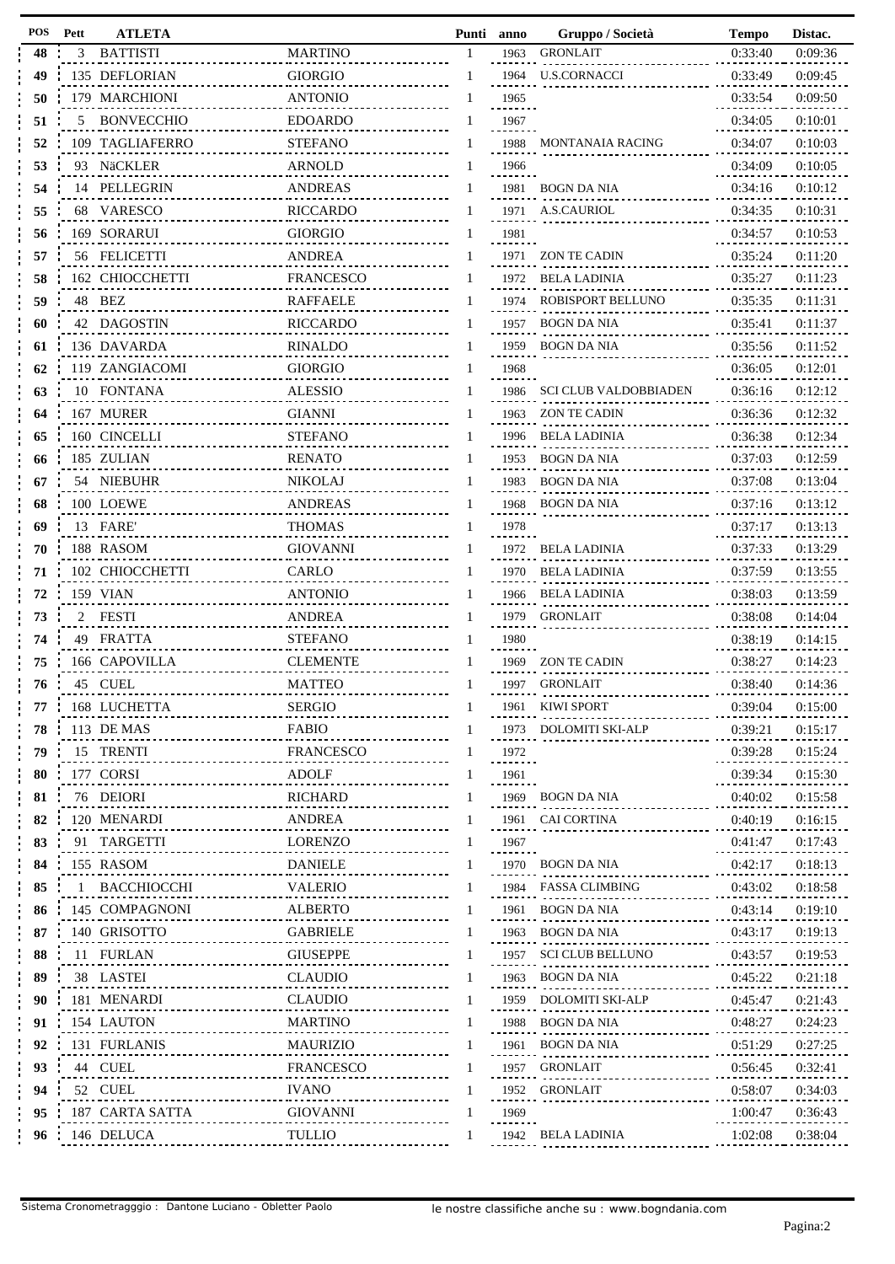| POS | Pett | <b>ATLETA</b>     |                  | Punti | anno      | Gruppo / Società             | <b>Tempo</b> | Distac. |
|-----|------|-------------------|------------------|-------|-----------|------------------------------|--------------|---------|
| 48  | 3    | <b>BATTISTI</b>   | <b>MARTINO</b>   | 1     | 1963      | <b>GRONLAIT</b>              | 0:33:40      | 0:09:36 |
| 49  |      | 135 DEFLORIAN     | <b>GIORGIO</b>   |       |           | 1964 U.S.CORNACCI            | 0:33:49      | 0:09:45 |
| 50  |      | 179 MARCHIONI     | <b>ANTONIO</b>   |       | 1965      |                              | 0:33:54      | 0:09:50 |
| 51  | 5    | <b>BONVECCHIO</b> | <b>EDOARDO</b>   |       | 1967      |                              | 0:34:05      | 0:10:01 |
| 52  |      | 109 TAGLIAFERRO   | <b>STEFANO</b>   |       |           | 1988 MONTANAIA RACING        | 0:34:07      | 0:10:03 |
| 53  | 93   | NäCKLER           | ARNOLD           |       | 1966      |                              | 0:34:09      | 0:10:05 |
| 54  |      | 14 PELLEGRIN      | <b>ANDREAS</b>   |       |           | 1981 BOGN DA NIA             | 0:34:16      | 0:10:12 |
| 55  | 68   | VARESCO           | <b>RICCARDO</b>  |       | 1971      | A.S.CAURIOL                  | 0:34:35      | 0:10:31 |
| 56  |      | 169 SORARUI       | <b>GIORGIO</b>   |       | 1981      |                              | 0:34:57      | 0:10:53 |
| 57  |      | 56 FELICETTI      | <b>ANDREA</b>    |       | 1971      | ZON TE CADIN                 | 0:35:24      | 0:11:20 |
| 58  |      | 162 CHIOCCHETTI   | <b>FRANCESCO</b> |       | 1972      | <b>BELA LADINIA</b>          | 0:35:27      | 0:11:23 |
| 59  |      | 48 BEZ            | <b>RAFFAELE</b>  |       | 1974      | ROBISPORT BELLUNO            | 0:35:35      | 0:11:31 |
| 60  |      | 42 DAGOSTIN       | <b>RICCARDO</b>  |       | 1957      | BOGN DA NIA                  | 0:35:41      | 0:11:37 |
| 61  |      | 136 DAVARDA       | <b>RINALDO</b>   |       | 1959      | BOGN DA NIA                  | 0:35:56      | 0:11:52 |
| 62  |      | 119 ZANGIACOMI    | <b>GIORGIO</b>   |       | 1968      |                              | 0:36:05      | 0:12:01 |
| 63  |      | 10 FONTANA        | <b>ALESSIO</b>   |       | 1986      | <b>SCI CLUB VALDOBBIADEN</b> | 0:36:16      | 0:12:12 |
| 64  |      | 167 MURER         | <b>GIANNI</b>    |       | 1963      | ZON TE CADIN                 | 0:36:36      | 0:12:32 |
| 65  |      | 160 CINCELLI      | <b>STEFANO</b>   |       | 1996      | <b>BELA LADINIA</b>          | 0:36:38      | 0:12:34 |
| 66  |      | 185 ZULIAN        | <b>RENATO</b>    |       | 1953      | <b>BOGN DA NIA</b>           | 0:37:03      | 0:12:59 |
| 67  |      | 54 NIEBUHR        | <b>NIKOLAJ</b>   |       | 1983      | <b>BOGN DA NIA</b>           | 0:37:08      | 0:13:04 |
| 68  |      | 100 LOEWE         | <b>ANDREAS</b>   |       |           | 1968 BOGN DA NIA             | 0:37:16      | 0:13:12 |
| 69  |      | 13 FARE           | <b>THOMAS</b>    |       | 1978      |                              | 0:37:17      | 0:13:13 |
| 70  |      | 188 RASOM         | <b>GIOVANNI</b>  |       | 1972      | <b>BELA LADINIA</b>          | 0:37:33      | 0:13:29 |
| 71  |      | 102 CHIOCCHETTI   | CARLO            |       | 1970      | <b>BELA LADINIA</b>          | 0:37:59      | 0:13:55 |
| 72  |      | 159 VIAN          | <b>ANTONIO</b>   |       |           | 1966 BELA LADINIA            | 0:38:03      | 0:13:59 |
| 73  | 2    | FESTI             | <b>ANDREA</b>    |       | 1979      | GRONLAIT                     | 0:38:08      | 0:14:04 |
| 74  |      | 49 FRATTA         | <b>STEFANO</b>   |       | 1980      |                              | 0:38:19      | 0:14:15 |
| 75  |      | 166 CAPOVILLA     | <b>CLEMENTE</b>  |       | 1969      | ZON TE CADIN                 | 0:38:27      | 0:14:23 |
| 76  |      | 45 CUEL           | <b>MATTEO</b>    | 1     |           | 1997 GRONLAIT                | 0:38:40      | 0:14:36 |
| 77  |      | 168 LUCHETTA      | <b>SERGIO</b>    |       | 1961      | KIWI SPORT                   | 0:39:04      | 0:15:00 |
| 78  |      | 113 DE MAS        | <b>FABIO</b>     |       |           | 1973 DOLOMITI SKI-ALP        | 0:39:21      | 0:15:17 |
| 79  |      | 15 TRENTI         | <b>FRANCESCO</b> |       | 1972<br>. |                              | 0:39:28      | 0:15:24 |
| 80  |      | 177 CORSI         | <b>ADOLF</b>     |       | 1961      |                              | 0:39:34      | 0:15:30 |
| 81  |      | 76 DEIORI         | <b>RICHARD</b>   |       | 1969      | BOGN DA NIA                  | 0:40:02      | 0:15:58 |
| 82  |      | 120 MENARDI       | ANDREA           |       |           | 1961 CAI CORTINA             | 0:40:19      | 0:16:15 |
| 83  |      | 91 TARGETTI       | LORENZO          |       | 1967      |                              | 0:41:47      | 0:17:43 |
| 84  |      | 155 RASOM         | <b>DANIELE</b>   |       |           | 1970 BOGN DA NIA             | 0:42:17      | 0:18:13 |
| 85  |      | BACCHIOCCHI       | <b>VALERIO</b>   |       | 1984      | <b>FASSA CLIMBING</b>        | 0:43:02      | 0:18:58 |
| 86  |      | 145 COMPAGNONI    | <b>ALBERTO</b>   |       | 1961      | BOGN DA NIA                  | 0:43:14      | 0:19:10 |
| 87  |      | 140 GRISOTTO      | <b>GABRIELE</b>  |       | 1963      | BOGN DA NIA                  | 0:43:17      | 0:19:13 |
| 88  |      | 11 FURLAN         | <b>GIUSEPPE</b>  |       | 1957      | <b>SCI CLUB BELLUNO</b>      | 0:43:57      | 0:19:53 |
| 89  |      | 38 LASTEI         | <b>CLAUDIO</b>   |       | 1963      | BOGN DA NIA                  | 0:45:22      | 0:21:18 |
| 90  |      | 181 MENARDI       | <b>CLAUDIO</b>   |       | 1959      | DOLOMITI SKI-ALP             | 0:45:47      | 0:21:43 |
| 91  |      | 154 LAUTON        | <b>MARTINO</b>   |       | 1988      | BOGN DA NIA                  | 0:48:27      | 0:24:23 |
| 92  |      | 131 FURLANIS      | <b>MAURIZIO</b>  |       | 1961      | BOGN DA NIA                  | 0:51:29      | 0:27:25 |
| 93  |      | 44 CUEL           | <b>FRANCESCO</b> |       | 1957      | <b>GRONLAIT</b>              | 0:56:45      | 0:32:41 |
| 94  |      | 52 CUEL           | <b>IVANO</b>     |       |           | 1952 GRONLAIT                | 0:58:07      | 0:34:03 |
| 95  |      | 187 CARTA SATTA   | <b>GIOVANNI</b>  |       | 1969      |                              | 1:00:47      | 0:36:43 |
| 96  |      | 146 DELUCA        | TULLIO           |       |           | 1942 BELA LADINIA            | 1:02:08      | 0:38:04 |

| tí | anno         | Gruppo / Societá                                         | Tempo               | Distac. |
|----|--------------|----------------------------------------------------------|---------------------|---------|
|    | 1963         | GRONLAIT                                                 | 0:33:40             | 0:09:36 |
|    | 1964         | U.S.CORNACCI                                             | 0:33:49             | 0:09:45 |
|    | 1965         |                                                          | 0:33:54             | 0:09:50 |
|    | 1967         |                                                          | 0:34:05             | 0:10:01 |
|    | 1988         | MONTANAIA RACING                                         | 0:34:07             | 0:10:03 |
|    | 1966         |                                                          | 0:34:09             | 0:10:05 |
|    | 1981         | BOGN DA NIA                                              | 0:34:16             | 0:10:12 |
|    | 1971         | A.S.CAURIOL                                              | 0:34:35             | 0:10:31 |
|    | 1981         |                                                          | 0:34:57             | 0:10:53 |
|    | 1971         | ZON TE CADIN                                             | 0:35:24             | 0:11:20 |
|    | 1972         | BELA LADINIA                                             | 0:35:27             | 0:11:23 |
|    |              | ROBISPORT BELLUNO                                        | 0:35:35             |         |
|    | 1974         |                                                          |                     | 0:11:31 |
|    | 1957         | BOGN DA NIA                                              | 0:35:41             | 0:11:37 |
|    | 1959         | BOGN DA NIA                                              | 0:35:56             | 0:11:52 |
|    | 1968         |                                                          | 0:36:05             | 0:12:01 |
|    | 1986         | SCI CLUB VALDOBBIADEN                                    | 0:36:16             | 0:12:12 |
|    | 1963         | ZON TE CADIN                                             | 0:36:36             | 0:12:32 |
|    | 1996         | BELA LADINIA                                             | 0:36:38             | 0:12:34 |
|    | 1953         | BOGN DA NIA                                              | 0:37:03             | 0:12:59 |
|    | 1983         | BOGN DA NIA                                              | 0:37:08             | 0:13:04 |
|    | 1968         | BOGN DA NIA                                              | 0:37:16             | 0:13:12 |
|    | 1978         |                                                          | 0:37:17             | 0:13:13 |
|    | 1972         | BELA LADINIA                                             | 0:37:33             | 0:13:29 |
|    | 1970         | BELA LADINIA                                             | 0:37:59             | 0:13:55 |
|    | 1966         | BELA LADINIA                                             | 0:38:03             | 0:13:59 |
|    | 1979         | GRONLAIT                                                 | 0:38:08             | 0:14:04 |
|    | 1980         |                                                          | 0:38:19             | 0:14:15 |
|    | 1969         | ZON TE CADIN                                             | 0:38:27             | 0:14:23 |
|    | 1997         | GRONLAIT                                                 | 0:38:40             | 0:14:36 |
|    | 1961         | KIWI SPORT                                               | $0:39:04$ $0:15:00$ |         |
|    |              | 1973 DOLOMITI SKI-ALP                                    | $0:39:21$ $0:15:17$ |         |
|    |              |                                                          |                     |         |
|    | 1972<br>1961 |                                                          | $0:39:28$ $0:15:24$ |         |
|    |              | 1969 BOGN DA NIA                                         | $0:39:34$ $0:15:30$ |         |
|    |              | .                                                        | $0:40:02$ $0:15:58$ |         |
|    |              | 1961 CAI CORTINA                                         | $0:40:19$ $0:16:15$ |         |
|    | 1967         |                                                          | $0:41:47$ $0:17:43$ |         |
|    |              | 1970 BOGN DA NIA<br>.                                    | $0:42:17$ $0:18:13$ |         |
|    |              |                                                          | $0:43:02$ $0:18:58$ |         |
|    |              | 1961 BOGN DA NIA                                         | $0:43:14$ $0:19:10$ |         |
|    |              | 1963 BOGN DA NIA                                         | $0:43:17$ $0:19:13$ |         |
|    |              |                                                          | $0:43:57$ $0:19:53$ |         |
|    |              | 1963 BOGN DA NIA<br>------ ----------------------------- | $0:45:22$ $0:21:18$ |         |
|    |              | 1959 DOLOMITI SKI-ALP                                    | $0:45:47$ $0:21:43$ |         |
|    |              | 1988 BOGN DA NIA<br>                                     | $0:48:27$ $0:24:23$ |         |
|    |              | 1961 BOGN DA NIA<br>-----------------------------        | $0:51:29$ $0:27:25$ |         |
|    |              | 1957 GRONLAIT<br>------ -----------------------------    | $0:56:45$ $0:32:41$ |         |
|    |              | 1952 GRONLAIT                                            | $0:58:07$ $0:34:03$ |         |
|    | 1969         | .                                                        | $1:00:47$ $0:36:43$ |         |
|    |              | 1942 BELA LADINIA                                        | 1:02:08  0:38:04    |         |
|    |              |                                                          |                     |         |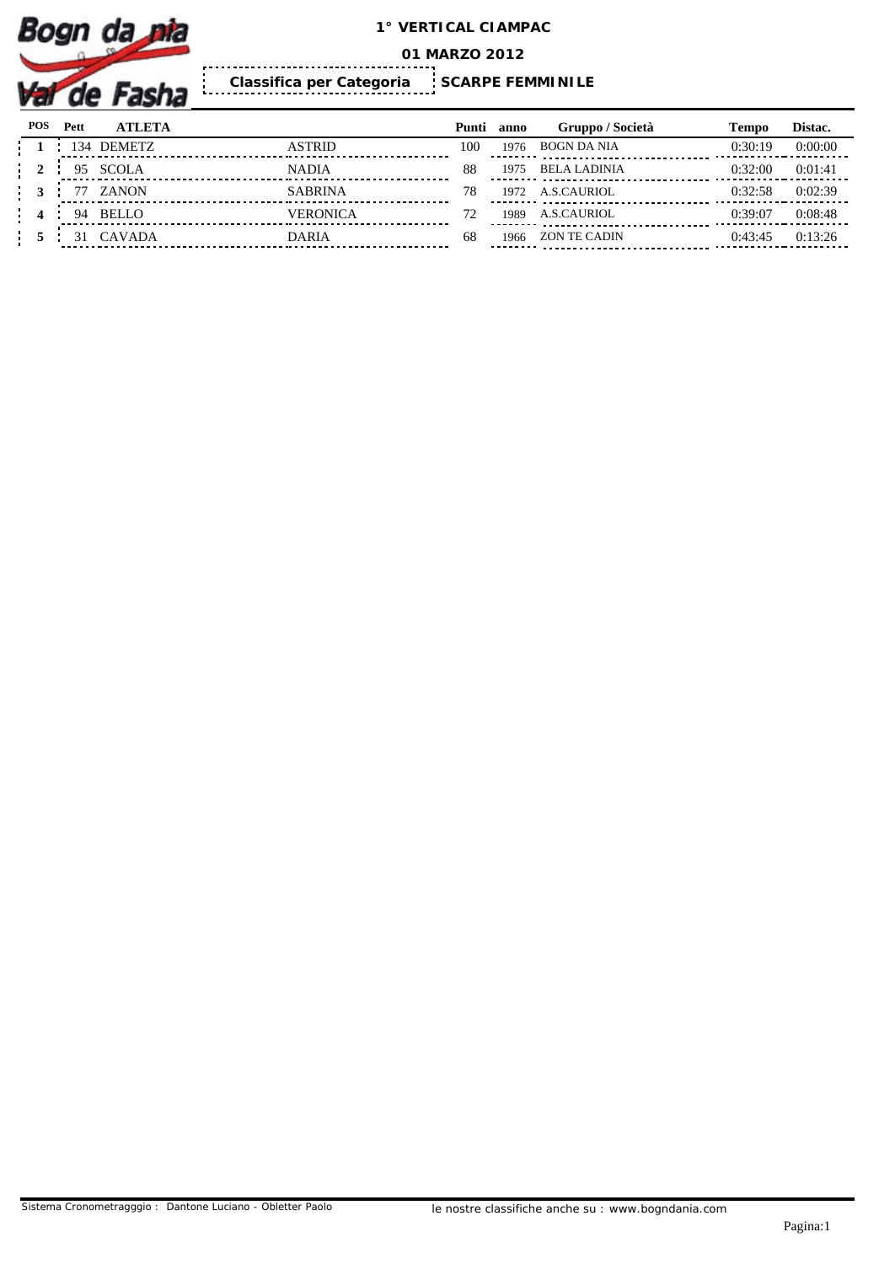

**01 MARZO 2012**

**SCARPE FEMMINILE Classifica per Categoria** 

| POS | Pett | <b>ATLETA</b> |                | Punti | anno | Gruppo / Società                                      | Tempo   | Distac. |
|-----|------|---------------|----------------|-------|------|-------------------------------------------------------|---------|---------|
|     |      | 134 DEMETZ    | ASTRID         | 100   | 1976 | <b>BOGN DA NIA</b>                                    | 0:30:19 | 0:00:00 |
|     | 95   | <b>SCOLA</b>  | <b>NADIA</b>   | 88    | 1975 | <b>BELA LADINIA</b>                                   | 0:32:00 | 0:01:41 |
|     |      | ZANON         | <b>SABRINA</b> |       | 1972 | A.S.CAURIOL                                           | 0:32:58 | 0:02:39 |
|     | -94  | <b>BELLO</b>  | VERONICA       |       | 1989 | A.S.CAURIOL                                           | 0:39:07 | 0:08:48 |
|     |      | <b>CAVADA</b> | <b>DARIA</b>   | 68    | 1966 | ZON TE CADIN<br>-------- ---------------------------- | 0:43:45 | 0:13:26 |